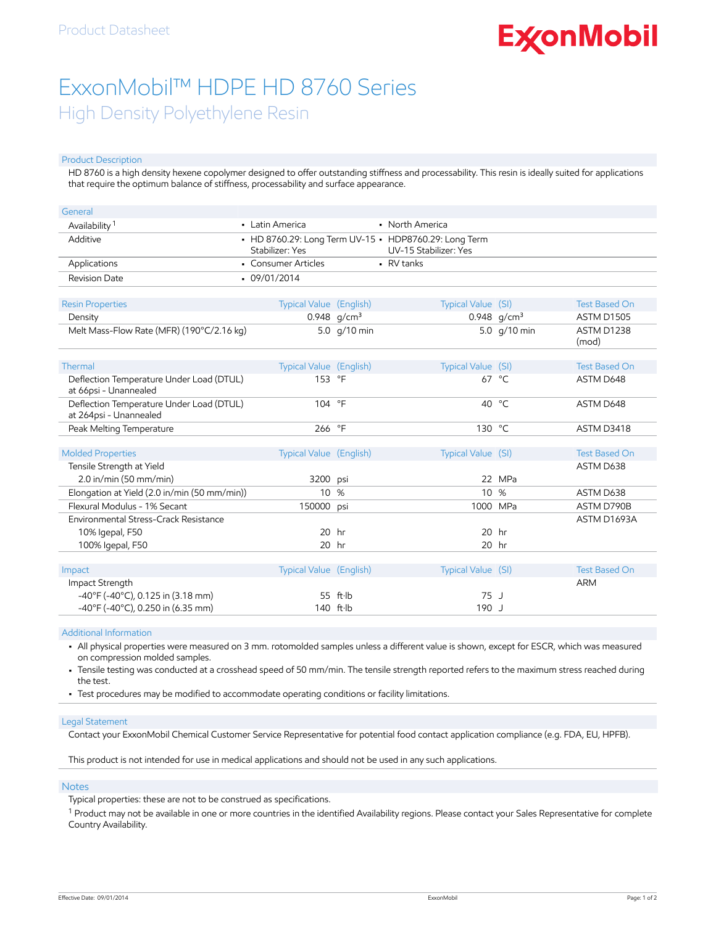# **ExconMobil**

## ExxonMobil™ HDPE HD 8760 Series High Density Polyethylene Resin

#### Product Description

HD 8760 is a high density hexene copolymer designed to offer outstanding stiffness and processability. This resin is ideally suited for applications that require the optimum balance of stiffness, processability and surface appearance.

| General                                                            |                         |                    |                                                                                       |                |                      |
|--------------------------------------------------------------------|-------------------------|--------------------|---------------------------------------------------------------------------------------|----------------|----------------------|
| Availability <sup>1</sup>                                          | • Latin America         |                    | • North America                                                                       |                |                      |
| Additive                                                           | Stabilizer: Yes         |                    | • HD 8760.29: Long Term UV-15 • HDP8760.29: Long Term<br><b>UV-15 Stabilizer: Yes</b> |                |                      |
| Applications                                                       | • Consumer Articles     |                    | - RV tanks                                                                            |                |                      |
| <b>Revision Date</b>                                               | $-09/01/2014$           |                    |                                                                                       |                |                      |
| <b>Resin Properties</b>                                            | Typical Value (English) |                    | Typical Value (SI)                                                                    |                | <b>Test Based On</b> |
| Density                                                            |                         | 0.948 $q/cm^3$     |                                                                                       | 0.948 $q/cm^3$ | <b>ASTM D1505</b>    |
| Melt Mass-Flow Rate (MFR) (190°C/2.16 kg)                          |                         | 5.0 g/10 min       |                                                                                       | 5.0 g/10 min   | ASTM D1238<br>(mod)  |
| Thermal                                                            | Typical Value (English) |                    | Typical Value (SI)                                                                    |                | <b>Test Based On</b> |
| Deflection Temperature Under Load (DTUL)<br>at 66psi - Unannealed  | 153 °F                  |                    |                                                                                       | 67 °C          | ASTM D648            |
| Deflection Temperature Under Load (DTUL)<br>at 264psi - Unannealed | 104 °F                  |                    |                                                                                       | 40 °C          | ASTM D648            |
| Peak Melting Temperature                                           | 266 °F                  |                    | 130 °C                                                                                |                | ASTM D3418           |
| <b>Molded Properties</b>                                           | Typical Value (English) |                    | Typical Value (SI)                                                                    |                | <b>Test Based On</b> |
| Tensile Strength at Yield                                          |                         |                    |                                                                                       |                | ASTM D638            |
| $2.0$ in/min (50 mm/min)                                           | 3200 psi                |                    |                                                                                       | 22 MPa         |                      |
| Elongation at Yield (2.0 in/min (50 mm/min))                       | 10                      | %                  | 10 %                                                                                  |                | ASTM D638            |
| Flexural Modulus - 1% Secant                                       | 150000                  | psi                |                                                                                       | 1000 MPa       | ASTM D790B           |
| Environmental Stress-Crack Resistance                              |                         |                    |                                                                                       |                | ASTM D1693A          |
| 10% Igepal, F50                                                    | $20$ hr                 |                    |                                                                                       | $20$ hr        |                      |
| 100% Igepal, F50                                                   | 20 hr                   |                    |                                                                                       | $20$ hr        |                      |
|                                                                    |                         |                    |                                                                                       |                |                      |
| Impact                                                             | Typical Value (English) |                    | Typical Value (SI)                                                                    |                | <b>Test Based On</b> |
| Impact Strength                                                    |                         |                    |                                                                                       |                | <b>ARM</b>           |
| $-40^{\circ}$ F (-40 $^{\circ}$ C), 0.125 in (3.18 mm)             |                         | $55$ ft $\cdot$ lb | 75J                                                                                   |                |                      |
| -40°F (-40°C), 0.250 in (6.35 mm)                                  |                         | 140 ft·lb          | 190 J                                                                                 |                |                      |

Additional Information

• All physical properties were measured on 3 mm. rotomolded samples unless a different value is shown, except for ESCR, which was measured on compression molded samples.

• Tensile testing was conducted at a crosshead speed of 50 mm/min. The tensile strength reported refers to the maximum stress reached during the test.

• Test procedures may be modified to accommodate operating conditions or facility limitations.

#### Legal Statement

Contact your ExxonMobil Chemical Customer Service Representative for potential food contact application compliance (e.g. FDA, EU, HPFB).

This product is not intended for use in medical applications and should not be used in any such applications.

#### **Notes**

Typical properties: these are not to be construed as specifications.

 $^{\rm 1}$  Product may not be available in one or more countries in the identified Availability regions. Please contact your Sales Representative for complete Country Availability.